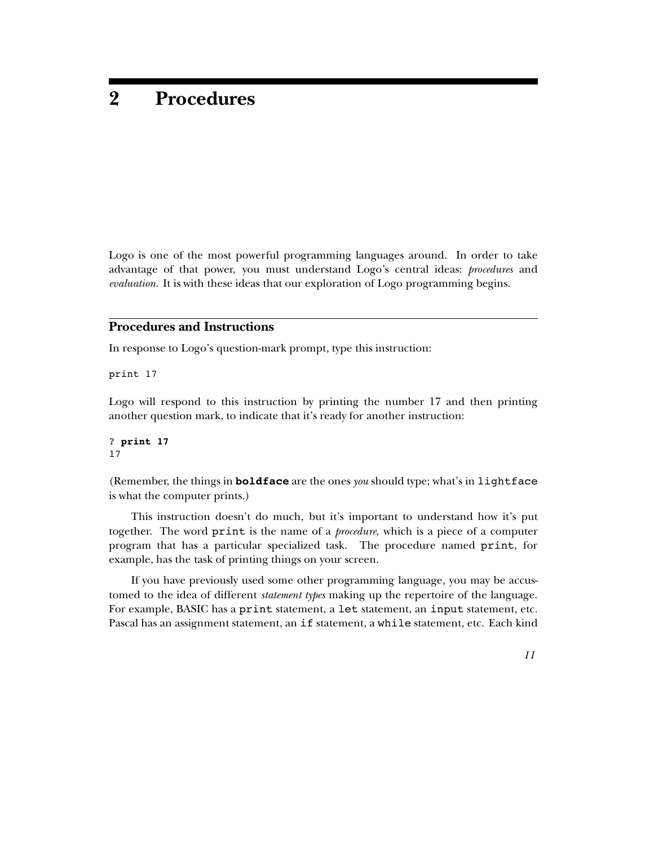# **2 Procedures**

advantage of that power, you must understand Logo's central ideas: *procedures* and *evaluation.* It is with these ideas that our exploration of Logo programming begins. Logo is one of the most powerful programming languages around. In order to take

## **Procedures and Instructions**

In response to Logo's question-mark prompt, type this instruction:

print 17

Logo will respond to this instruction by printing the number 17 and then printing another question mark, to indicate that it's ready for another instruction:

**print 17** ? 17

(Remember, the things in **boldface** are the ones you should type; what's in lightface is what the computer prints.)

together. The word print is the name of a *procedure*, which is a piece of a computer program that has a particular specialized task. The procedure named print, for This instruction doesn't do much, but it's important to understand how it's put example, has the task of printing things on your screen.

For example, BASIC has a print statement, a let statement, an input statement, etc. Pascal has an assignment statement, an <code>if</code> statement, a while statement, etc. Each kind tomed to the idea of different *statement types* making up the repertoire of the language. If you have previously used some other programming language, you may be accus-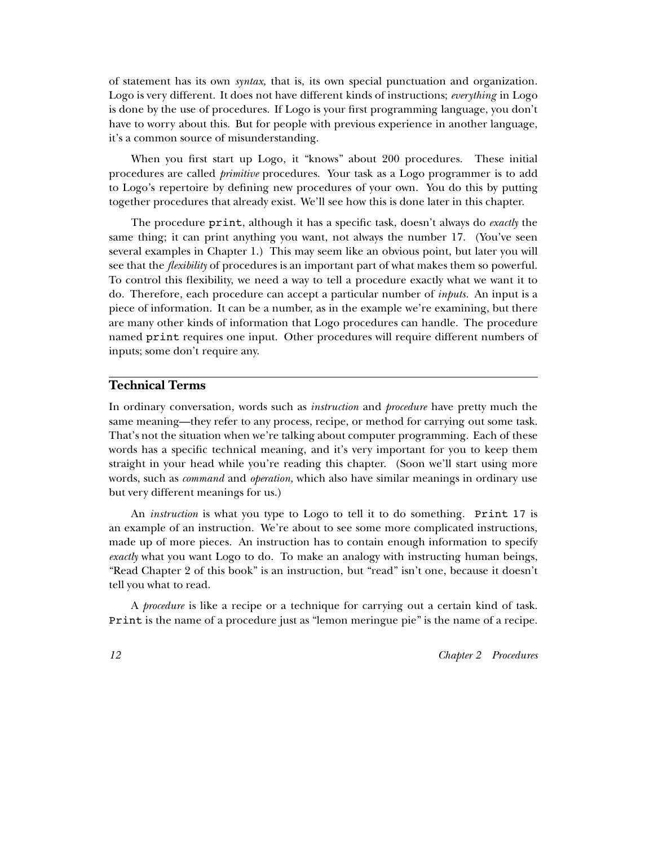of statement has its own *syntax*, that is, its own special punctuation and organization. Logo is very different. It does not have different kinds of instructions; *everything* in Logo is done by the use of procedures. If Logo is your first programming language, you don't have to worry about this. But for people with previous experience in another language, it's a common source of misunderstanding.

procedures are called *primitive* procedures. Your task as a Logo programmer is to add When you first start up Logo, it "knows" about 200 procedures. These initial to Logo's repertoire by defining new procedures of your own. You do this by putting together procedures that already exist. We'll see how this is done later in this chapter.

The procedure print, although it has a specific task, doesn't always do exactly the named print requires one input. Other procedures will require different numbers of see that the *flexibility* of procedures is an important part of what makes them so powerful. do. Therefore, each procedure can accept a particular number of *inputs*. An input is a same thing; it can print anything you want, not always the number 17. (You've seen several examples in Chapter 1.) This may seem like an obvious point, but later you will To control this flexibility, we need a way to tell a procedure exactly what we want it to piece of information. It can be a number, as in the example we're examining, but there are many other kinds of information that Logo procedures can handle. The procedure inputs; some don't require any.

#### **Technical Terms**

In ordinary conversation, words such as *instruction* and *procedure* have pretty much the words, such as *command* and *operation*, which also have similar meanings in ordinary use same meaning—they refer to any process, recipe, or method for carrying out some task. That's not the situation when we're talking about computer programming. Each of these words has a specific technical meaning, and it's very important for you to keep them straight in your head while you're reading this chapter. (Soon we'll start using more but very different meanings for us.)

An *instruction* is what you type to Logo to tell it to do something. Print 17 is *exactly* what you want Logo to do. To make an analogy with instructing human beings, an example of an instruction. We're about to see some more complicated instructions, made up of more pieces. An instruction has to contain enough information to specify "Read Chapter 2 of this book" is an instruction, but "read" isn't one, because it doesn't tell you what to read.

Print is the name of a procedure just as "lemon meringue pie" is the name of a recipe.A *procedure* is like a recipe or a technique for carrying out a certain kind of task.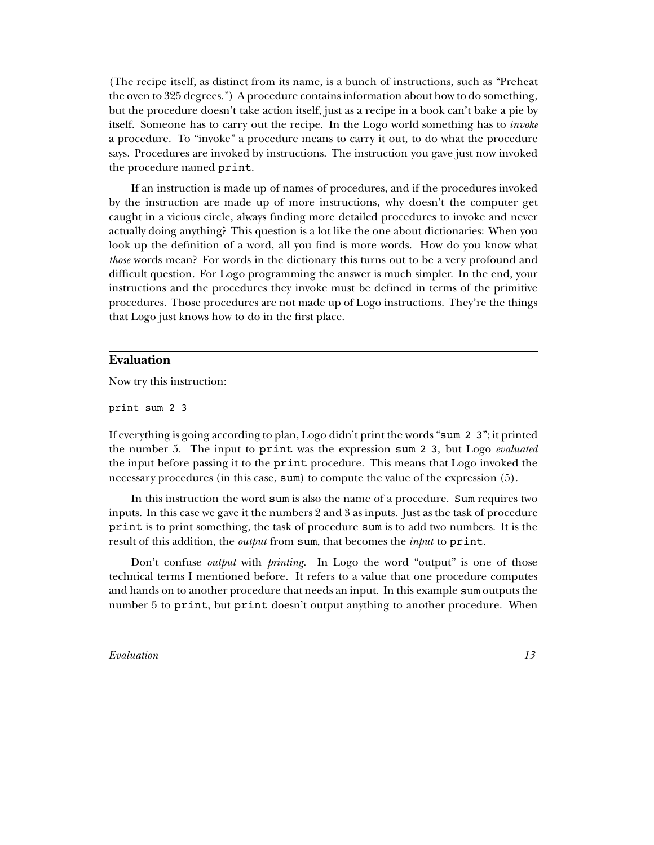itself. Someone has to carry out the recipe. In the Logo world something has to *invoke* the procedure named print. (The recipe itself, as distinct from its name, is a bunch of instructions, such as "Preheat the oven to 325 degrees.") A procedure contains information about how to do something, but the procedure doesn't take action itself, just as a recipe in a book can't bake a pie by a procedure. To "invoke" a procedure means to carry it out, to do what the procedure says. Procedures are invoked by instructions. The instruction you gave just now invoked

*those* words mean? For words in the dictionary this turns out to be a very profound and If an instruction is made up of names of procedures, and if the procedures invoked by the instruction are made up of more instructions, why doesn't the computer get caught in a vicious circle, always finding more detailed procedures to invoke and never actually doing anything? This question is a lot like the one about dictionaries: When you look up the definition of a word, all you find is more words. How do you know what difficult question. For Logo programming the answer is much simpler. In the end, your instructions and the procedures they invoke must be defined in terms of the primitive procedures. Those procedures are not made up of Logo instructions. They're the things that Logo just knows how to do in the first place.

#### **Evaluation**

Now try this instruction:

print sum 2 3

the number 5. The input to print was the expression sum 2 3, but Logo *evaluated* If everything is going according to plan, Logo didn't print the words "sum 2–3"; it printed the input before passing it to the **print** procedure. This means that Logo invoked the necessary procedures (in this case, sum) to compute the value of the expression (5).

result of this addition, the *output* from sum, that becomes the *input* to  $\texttt{print}$ . In this instruction the word sum is also the name of a procedure. Sum requires two print is to print something, the task of procedure sum is to add two numbers. It is the inputs. In this case we gave it the numbers 2 and 3 as inputs. Just as the task of procedure

Don't confuse *output* with *printing*. In Logo the word "output" is one of those and hands on to another procedure that needs an input. In this example  ${\tt sum}$  outputs the number 5 to print, but print doesn't output anything to another procedure. When technical terms I mentioned before. It refers to a value that one procedure computes

*Evaluation 13*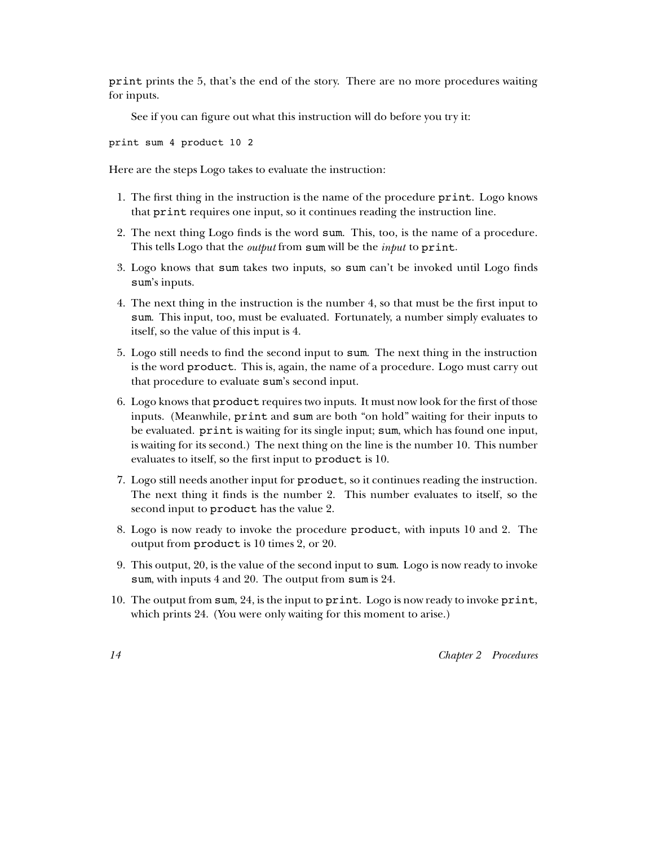print prints the 5, that's the end of the story. There are no more procedures waiting for inputs.

See if you can figure out what this instruction will do before you try it:

print sum 4 product 10 2

Here are the steps Logo takes to evaluate the instruction:

- 1. The first thing in the instruction is the name of the procedure print. Logo knows that print requires one input, so it continues reading the instruction line.
- This tells Logo that the *output* from sum will be the *input* to print. 2. The next thing Logo finds is the word sum. This, too, is the name of a procedure.
- 3. Logo knows that sum takes two inputs, so sum can't be invoked until Logo finds sum 's inputs.
- sum . This input, too, must be evaluated. Fortunately, a number simply evaluates to 4. The next thing in the instruction is the number 4, so that must be the first input to itself, so the value of this input is 4.
- 5. Logo still needs to find the second input to sum. The next thing in the instruction is the word product. This is, again, the name of a procedure. Logo must carry out that procedure to evaluate sum's second input.
- 6. Logo knows that product requires two inputs. It must now look for the first of those inputs. (Meanwhile, print and sum are both "on hold" waiting for their inputs to be evaluated. print is waiting for its single input; sum, which has found one input, evaluates to itself, so the first input to product is 10. is waiting for its second.) The next thing on the line is the number 10. This number
- 7. Logo still needs another input for product, so it continues reading the instruction. second input to product has the value 2. The next thing it finds is the number 2. This number evaluates to itself, so the
- 8. Logo is now ready to invoke the procedure product, with inputs 10 and 2. The output from product is 10 times 2, or 20.
- 9. This output, 20, is the value of the second input to sum. Logo is now ready to invoke sum, with inputs 4 and 20. The output from sum is 24.
- 10. The output from sum, 24, is the input to print. Logo is now ready to invoke print, which prints 24. (You were only waiting for this moment to arise.)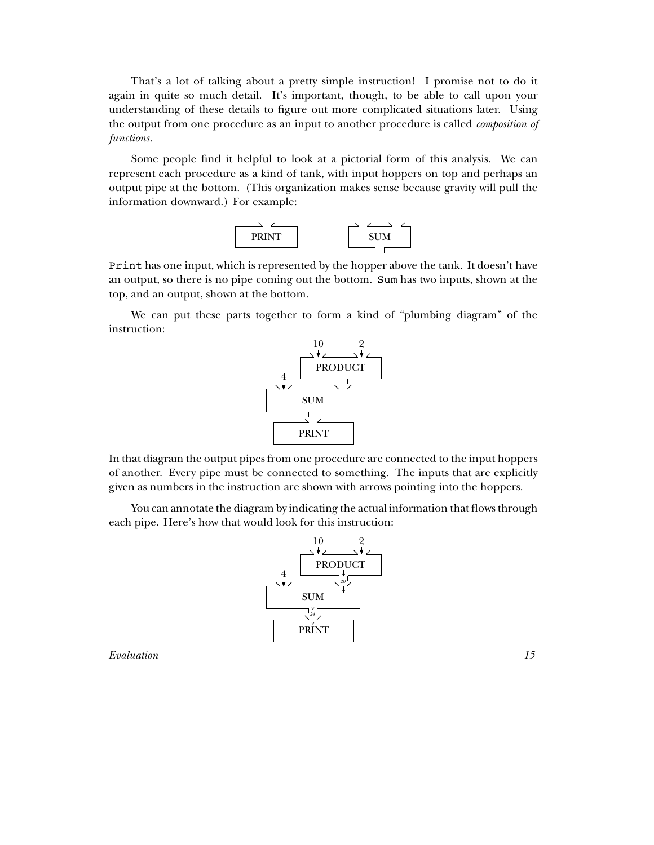the output from one procedure as an input to another procedure is called *composition of functions.* That's a lot of talking about a pretty simple instruction! I promise not to do it again in quite so much detail. It's important, though, to be able to call upon your understanding of these details to figure out more complicated situations later. Using

Some people find it helpful to look at a pictorial form of this analysis. We can represent each procedure as a kind of tank, with input hoppers on top and perhaps an output pipe at the bottom. (This organization makes sense because gravity will pull the information downward.) For example:



Print has one input, which is represented by the hopper above the tank. It doesn't have an output, so there is no pipe coming out the bottom. Sum has two inputs, shown at the top, and an output, shown at the bottom.

We can put these parts together to form a kind of "plumbing diagram" of the instruction:



In that diagram the output pipes from one procedure are connected to the input hoppers of another. Every pipe must be connected to something. The inputs that are explicitly given as numbers in the instruction are shown with arrows pointing into the hoppers.

You can annotate the diagram by indicating the actual information that flows through each pipe. Here's how that would look for this instruction:



*Evaluation 15*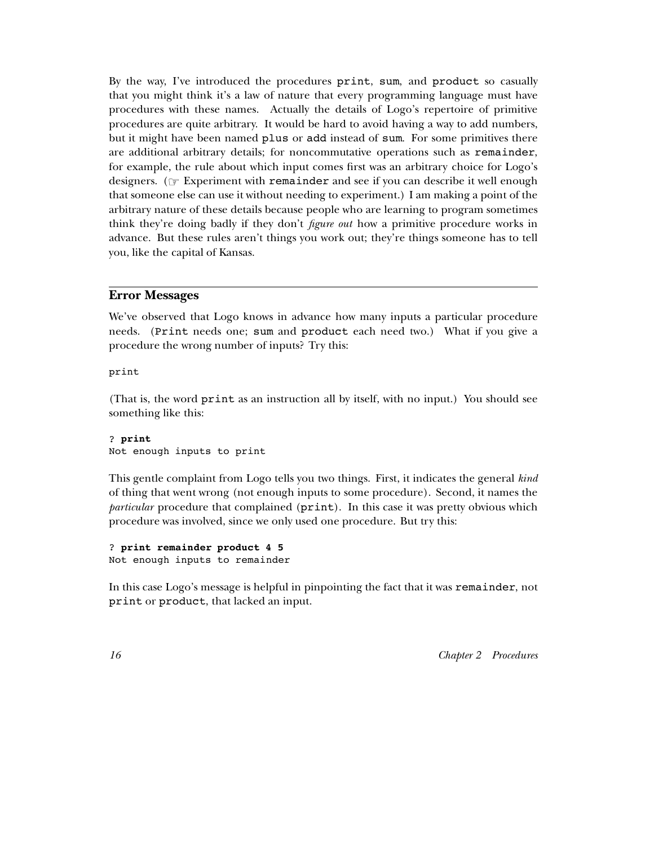designers. ( $\textcircled{\texttt{F}}$  Experiment with remainder and see if you can describe it well enough think they're doing badly if they don't *figure out* how a primitive procedure works in By the way, I've introduced the procedures print, sum, and product so casually but it might have been named plus or add instead of sum. For some primitives there are additional arbitrary details; for noncommutative operations such as remainder, that you might think it's a law of nature that every programming language must have procedures with these names. Actually the details of Logo's repertoire of primitive procedures are quite arbitrary. It would be hard to avoid having a way to add numbers, for example, the rule about which input comes first was an arbitrary choice for Logo's that someone else can use it without needing to experiment.) I am making a point of the arbitrary nature of these details because people who are learning to program sometimes advance. But these rules aren't things you work out; they're things someone has to tell you, like the capital of Kansas.

#### **Error Messages**

needs. (Print needs one; sum and product each need two.) What if you give a We've observed that Logo knows in advance how many inputs a particular procedure procedure the wrong number of inputs? Try this:

print

(That is, the word print as an instruction all by itself, with no input.) You should see something like this:

**print** ? Not enough inputs to print

This gentle complaint from Logo tells you two things. First, it indicates the general kind particular procedure that complained (print). In this case it was pretty obvious which of thing that went wrong (not enough inputs to some procedure). Second, it names the procedure was involved, since we only used one procedure. But try this:

**print remainder product 4 5** ? Not enough inputs to remainder

In this case Logo's message is helpful in pinpointing the fact that it was  $\mathtt{remainder},$  not print or product, that lacked an input.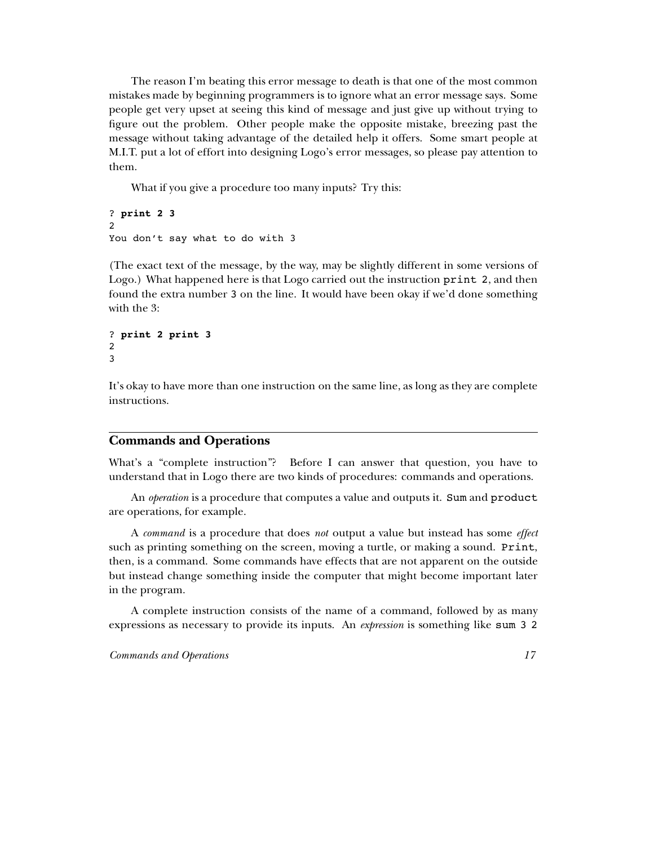The reason I'm beating this error message to death is that one of the most common mistakes made by beginning programmers is to ignore what an error message says. Some people get very upset at seeing this kind of message and just give up without trying to figure out the problem. Other people make the opposite mistake, breezing past the message without taking advantage of the detailed help it offers. Some smart people at M.I.T. put a lot of effort into designing Logo's error messages, so please pay attention to them.

What if you give a procedure too many inputs? Try this:

```
print 2 3
?
2
You don't say what to do with 3
```
Logo.) What happened here is that Logo carried out the instruction  ${\tt print}$  2, and then found the extra number 3 on the line. It would have been okay if we'd done something (The exact text of the message, by the way, may be slightly different in some versions of with the 3:

```
print 2 print 3
?
2
3
```
It's okay to have more than one instruction on the same line, as long as they are complete instructions.

# **Commands and Operations**

What's a "complete instruction"? Before I can answer that question, you have to understand that in Logo there are two kinds of procedures: commands and operations.

An *operation* is a procedure that computes a value and outputs it. Sum and  $\bm{\text{product}}$ are operations, for example.

such as printing something on the screen, moving a turtle, or making a sound. Print, A *command* is a procedure that does *not* output a value but instead has some *effect* then, is a command. Some commands have effects that are not apparent on the outside but instead change something inside the computer that might become important later in the program.

expressions as necessary to provide its inputs. An *expression* is something like sum 3 2 A complete instruction consists of the name of a command, followed by as many

*Commands and Operations 17*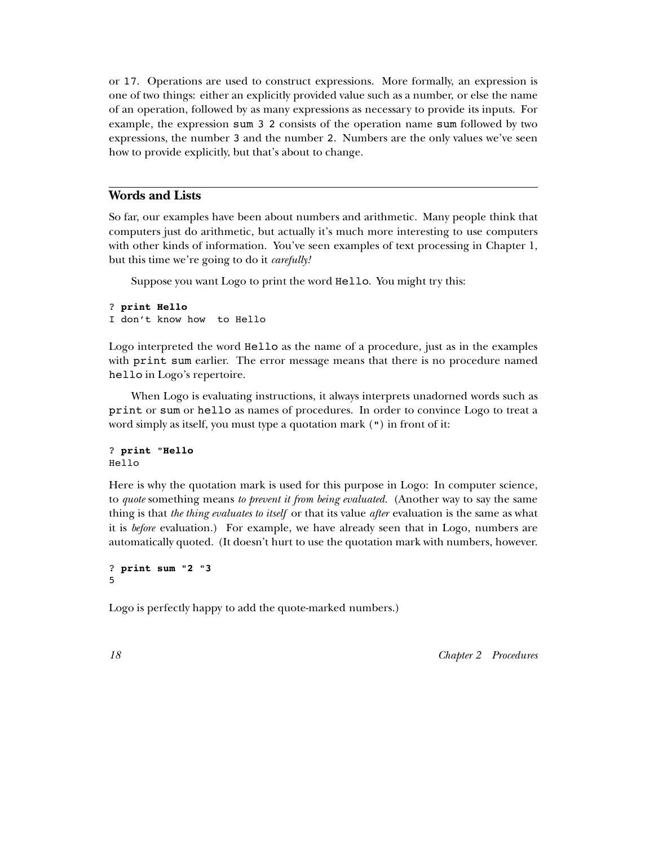or 17. Operations are used to construct expressions. More formally, an expression is example, the expression sum 3 2 consists of the operation name sum followed by two expressions, the number 3 and the number 2. Numbers are the only values we've seen one of two things: either an explicitly provided value such as a number, or else the name of an operation, followed by as many expressions as necessary to provide its inputs. For how to provide explicitly, but that's about to change.

## **Words and Lists**

but this time we're going to do it *carefully*! So far, our examples have been about numbers and arithmetic. Many people think that computers just do arithmetic, but actually it's much more interesting to use computers with other kinds of information. You've seen examples of text processing in Chapter 1,

Suppose you want Logo to print the word Hello. You might try this:

```
?
print Hello
I don't know how to Hello
```
Logo interpreted the word Hello as the name of a procedure, just as in the examples with print sum earlier. The error message means that there is no procedure named hello in Logo's repertoire.

print or sum or hello as names of procedures. In order to convince Logo to treat a word simply as itself, you must type a quotation mark (") in front of it: When Logo is evaluating instructions, it always interprets unadorned words such as

```
?
print "Hello
Hello
```
to *quote* something means to *prevent it from being evaluated.* (Another way to say the same thing is that *the thing evaluates to itself* or that its value *after* evaluation is the same as what it is *before* evaluation.) For example, we have already seen that in Logo, numbers are Here is why the quotation mark is used for this purpose in Logo: In computer science, automatically quoted. (It doesn't hurt to use the quotation mark with numbers, however.

```
?
print sum "2 "3
5
```
Logo is perfectly happy to add the quote-marked numbers.)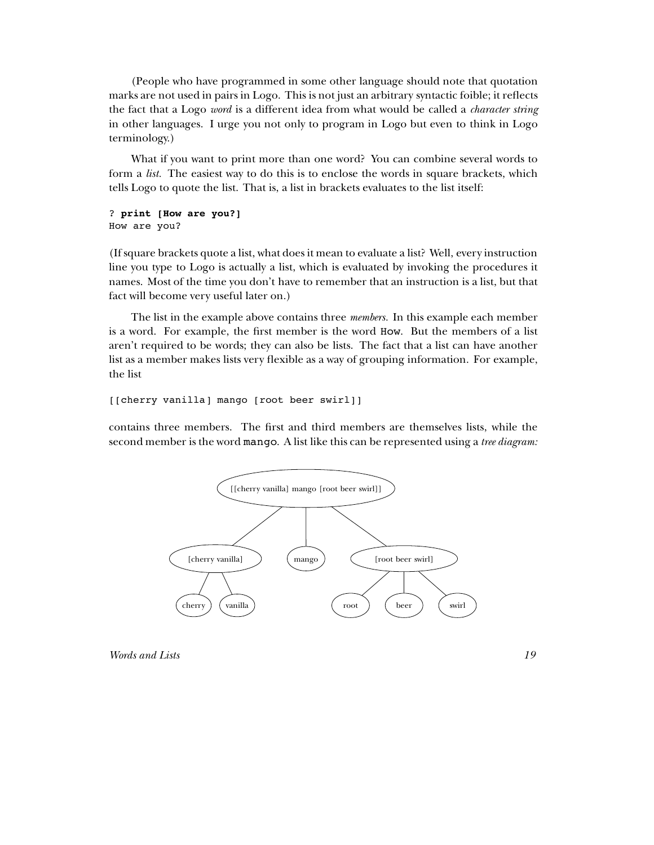the fact that a Logo *word* is a different idea from what would be called a *character string* (People who have programmed in some other language should note that quotation marks are not used in pairs in Logo. This is not just an arbitrary syntactic foible; it reflects in other languages. I urge you not only to program in Logo but even to think in Logo terminology.)

form a *list*. The easiest way to do this is to enclose the words in square brackets, which What if you want to print more than one word? You can combine several words to tells Logo to quote the list. That is, a list in brackets evaluates to the list itself:

```
? print [How are you?]
How are you?
```
(If square brackets quote a list, what does it mean to evaluate a list? Well, every instruction line you type to Logo is actually a list, which is evaluated by invoking the procedures it names. Most of the time you don't have to remember that an instruction is a list, but that fact will become very useful later on.)

is a word. For example, the first member is the word How. But the members of a list The list in the example above contains three *members*. In this example each member aren't required to be words; they can also be lists. The fact that a list can have another list as a member makes lists very flexible as a way of grouping information. For example, the list

```
[[cherry vanilla] mango [root beer swirl]]
```
second member is the word mango. A list like this can be represented using a *tree diagram*: contains three members. The first and third members are themselves lists, while the



*Words and Lists 19*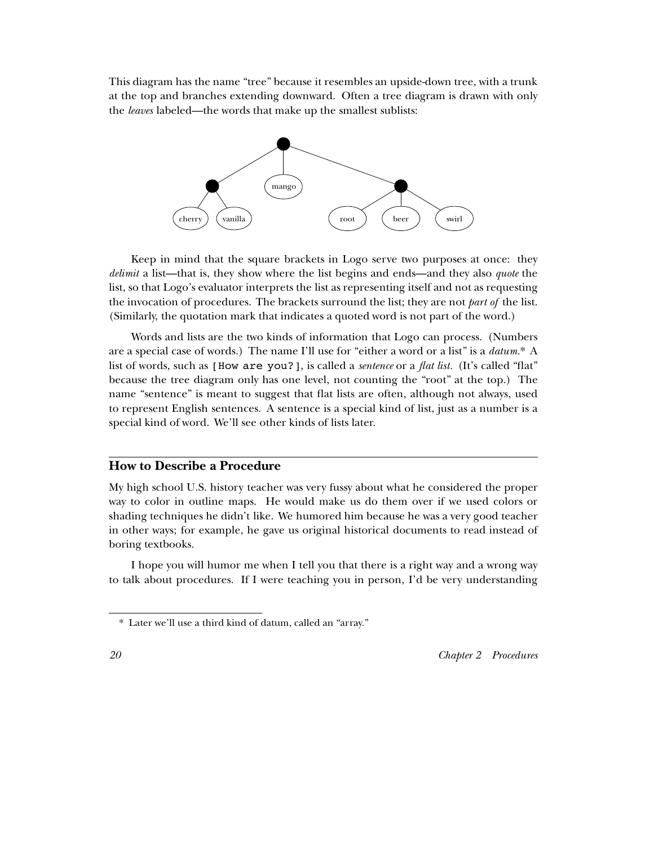the leaves labeled—the words that make up the smallest sublists: This diagram has the name "tree" because it resembles an upside-down tree, with a trunk at the top and branches extending downward. Often a tree diagram is drawn with only



*delimit* a list—that is, they show where the list begins and ends—and they also *quote* the the invocation of procedures. The brackets surround the list; they are not *part of the list*. Keep in mind that the square brackets in Logo serve two purposes at once: they list, so that Logo's evaluator interprets the list as representing itself and not as requesting (Similarly, the quotation mark that indicates a quoted word is not part of the word.)

list of words, such as [How are you?], is called a *sentence* or a *flat list*. (It's called "flat" are a special case of words.) The name I'll use for "either a word or a list" is a  $\mathit{datum.*}$  A Words and lists are the two kinds of information that Logo can process. (Numbers because the tree diagram only has one level, not counting the "root" at the top.) The name "sentence" is meant to suggest that flat lists are often, although not always, used to represent English sentences. A sentence is a special kind of list, just as a number is a special kind of word. We'll see other kinds of lists later.

### **How to Describe a Procedure**

My high school U.S. history teacher was very fussy about what he considered the proper way to color in outline maps. He would make us do them over if we used colors or shading techniques he didn't like. We humored him because he was a very good teacher in other ways; for example, he gave us original historical documents to read instead of boring textbooks.

I hope you will humor me when I tell you that there is a right way and a wrong way to talk about procedures. If I were teaching you in person, I'd be very understanding

<sup>\*</sup> Later we'll use a third kind of datum, called an "array."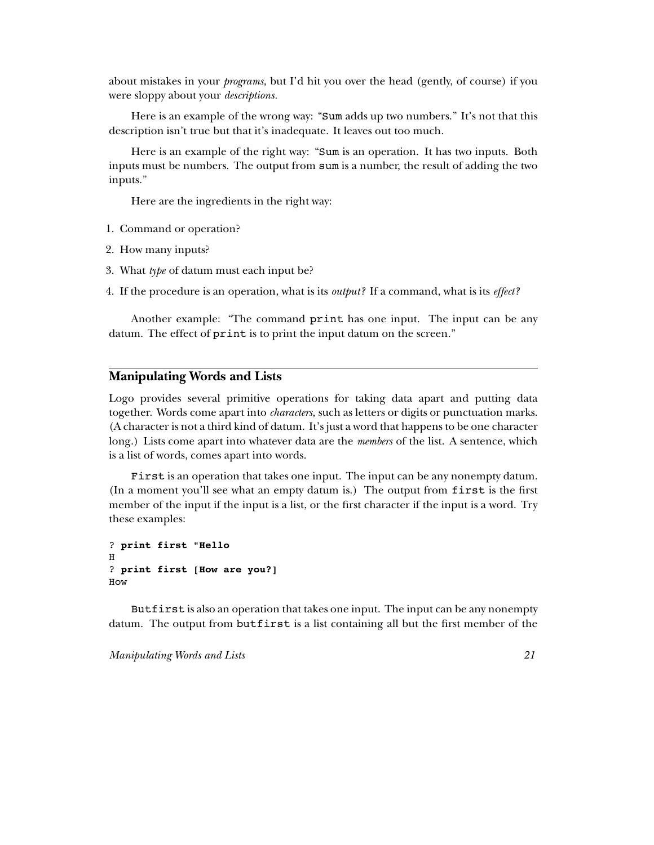about mistakes in your *programs*, but I'd hit you over the head (gently, of course) if you *descriptions.* were sloppy about your

Here is an example of the wrong way: "Sum adds up two numbers." It's not that this description isn't true but that it's inadequate. It leaves out too much.

Here is an example of the right way: "Sum is an operation. It has two inputs. Both inputs must be numbers. The output from sum is a number, the result of adding the two inputs."

Here are the ingredients in the right way:

- 1. Command or operation?
- 2. How many inputs?
- 3. What type of datum must each input be?
- 4. If the procedure is an operation, what is its *output?* If a command, what is its *effect*?

Another example: "The command print has one input. The input can be any datum. The effect of print is to print the input datum on the screen."

#### **Manipulating Words and Lists**

together. Words come apart into *characters,* such as letters or digits or punctuation marks. long.) Lists come apart into whatever data are the *members* of the list. A sentence, which Logo provides several primitive operations for taking data apart and putting data (A character is not a third kind of datum. It's just a word that happens to be one character is a list of words, comes apart into words.

First is an operation that takes one input. The input can be any nonempty datum. (In a moment you'll see what an empty datum is.) The output from first is the first member of the input if the input is a list, or the first character if the input is a word. Try these examples:

```
?
print first "Hello
H
?
print first [How are you?]
How
```
Butfirst is also an operation that takes one input. The input can be any nonempty datum. The output from butfirst is a list containing all but the first member of the

*Manipulating Words and Lists 21*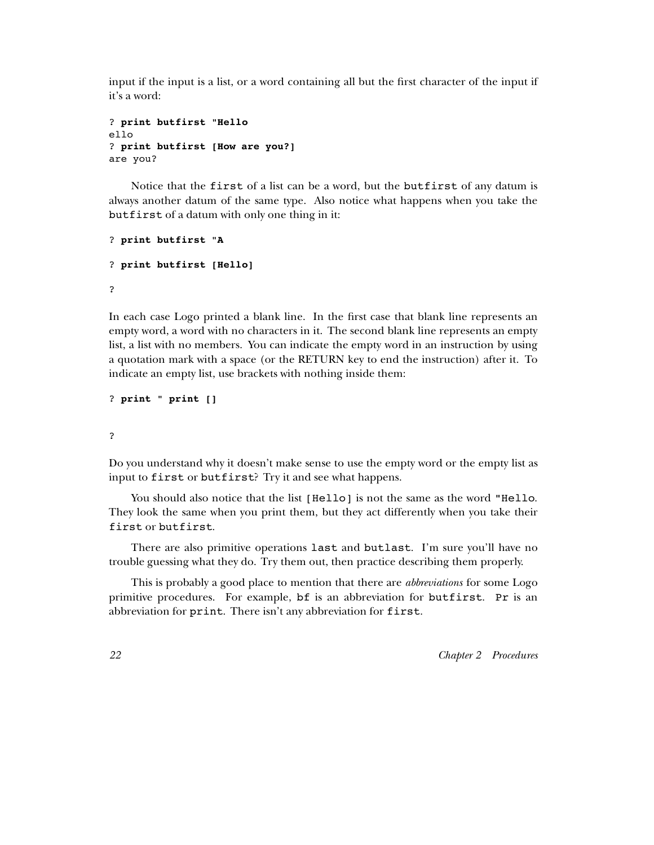input if the input is a list, or a word containing all but the first character of the input if it's a word:

```
?
print butfirst "Hello
ello
?
print butfirst [How are you?]
are you?
```
Notice that the first of a list can be a word, but the butfirst of any datum is butfirst of a datum with only one thing in it: always another datum of the same type. Also notice what happens when you take the

```
?
print butfirst "A
?
print butfirst [Hello]
?
```
In each case Logo printed a blank line. In the first case that blank line represents an empty word, a word with no characters in it. The second blank line represents an empty list, a list with no members. You can indicate the empty word in an instruction by using a quotation mark with a space (or the RETURN key to end the instruction) after it. To indicate an empty list, use brackets with nothing inside them:

```
?
print " print []
```
?

input to first or butfirst? Try it and see what happens. Do you understand why it doesn't make sense to use the empty word or the empty list as

You should also notice that the list  $[Hello]$  is not the same as the word "Hello. first or butfirst. They look the same when you print them, but they act differently when you take their

There are also primitive operations last and butlast. I'm sure you'll have no trouble guessing what they do. Try them out, then practice describing them properly.

This is probably a good place to mention that there are *abbreviations* for some Logo primitive procedures. For example,  $bf$  is an abbreviation for butfirst. Pr is an abbreviation for print. There isn't any abbreviation for first.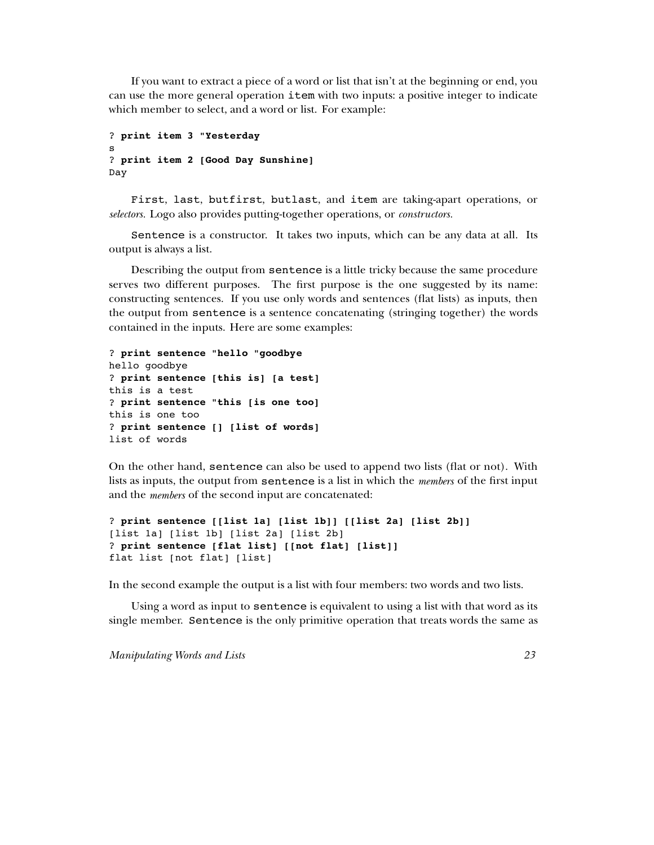can use the more general operation item with two inputs: a positive integer to indicate If you want to extract a piece of a word or list that isn't at the beginning or end, you which member to select, and a word or list. For example:

```
?
print item 3 "Yesterday
s
?
print item 2 [Good Day Sunshine]
Day
```
selectors. Logo also provides putting-together operations, or constructors. First, last, butfirst, butlast, and item are taking-apart operations, or

Sentence is a constructor. It takes two inputs, which can be any data at all. Its output is always a list.

Describing the output from sentence is a little tricky because the same procedure the output from sentence is a sentence concatenating (stringing together) the words serves two different purposes. The first purpose is the one suggested by its name: constructing sentences. If you use only words and sentences (flat lists) as inputs, then contained in the inputs. Here are some examples:

```
?
print sentence "hello "goodbye
hello goodbye
?
print sentence [this is] [a test]
this is a test
?
print sentence "this [is one too]
this is one too
?
print sentence [] [list of words]
list of words
```
lists as inputs, the output from **sentence** is a list in which the *members* of the first input and the *members* of the second input are concatenated: On the other hand, sentence can also be used to append two lists (flat or not). With

```
?
print sentence [[list 1a] [list 1b]] [[list 2a] [list 2b]]
[list 1a] [list 1b] [list 2a] [list 2b]
?
print sentence [flat list] [[not flat] [list]]
flat list [not flat] [list]
```
In the second example the output is a list with four members: two words and two lists.

Using a word as input to sentence is equivalent to using a list with that word as its single member. Sentence is the only primitive operation that treats words the same as

*Manipulating Words and Lists 23*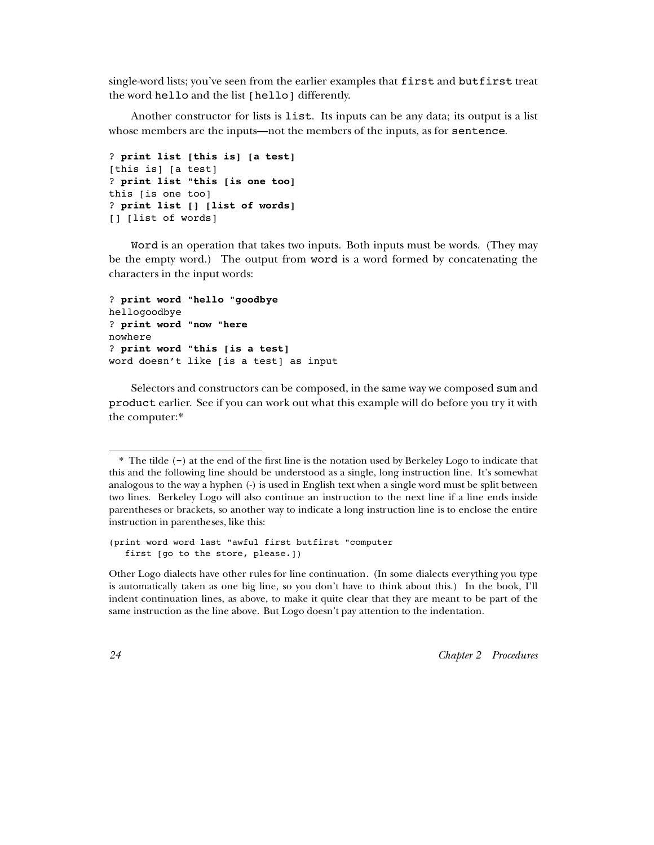single-word lists; you've seen from the earlier examples that  $\mathtt{first}$  and  $\mathtt{buffer}$  treat the word hello and the list [hello] differently.

Another constructor for lists is list. Its inputs can be any data; its output is a list whose members are the inputs—not the members of the inputs, as for sentence.

```
?
print list [this is] [a test]
[this is] [a test]
?
print list "this [is one too]
this [is one too]
?
print list [] [list of words]
[] [list of words]
```
Word is an operation that takes two inputs. Both inputs must be words. (They may be the empty word.) The output from word is a word formed by concatenating the characters in the input words:

```
?
print word "hello "goodbye
hellogoodbye
?
print word "now "here
nowhere
?
print word "this [is a test]
word doesn't like [is a test] as input
```
Selectors and constructors can be composed, in the same way we composed  ${\tt sum}$  and product earlier. See if you can work out what this example will do before you try it with the computer:\*

 $*$  The tilde  $(\sim)$  at the end of the first line is the notation used by Berkeley Logo to indicate that this and the following line should be understood as a single, long instruction line. It's somewhat analogous to the way a hyphen (-) is used in English text when a single word must be split between two lines. Berkeley Logo will also continue an instruction to the next line if a line ends inside parentheses or brackets, so another way to indicate a long instruction line is to enclose the entire instruction in parentheses, like this:

<sup>(</sup>print word word last "awful first butfirst "computer first [go to the store, please.])

Other Logo dialects have other rules for line continuation. (In some dialects everything you type is automatically taken as one big line, so you don't have to think about this.) In the book, I'll indent continuation lines, as above, to make it quite clear that they are meant to be part of the same instruction as the line above. But Logo doesn't pay attention to the indentation.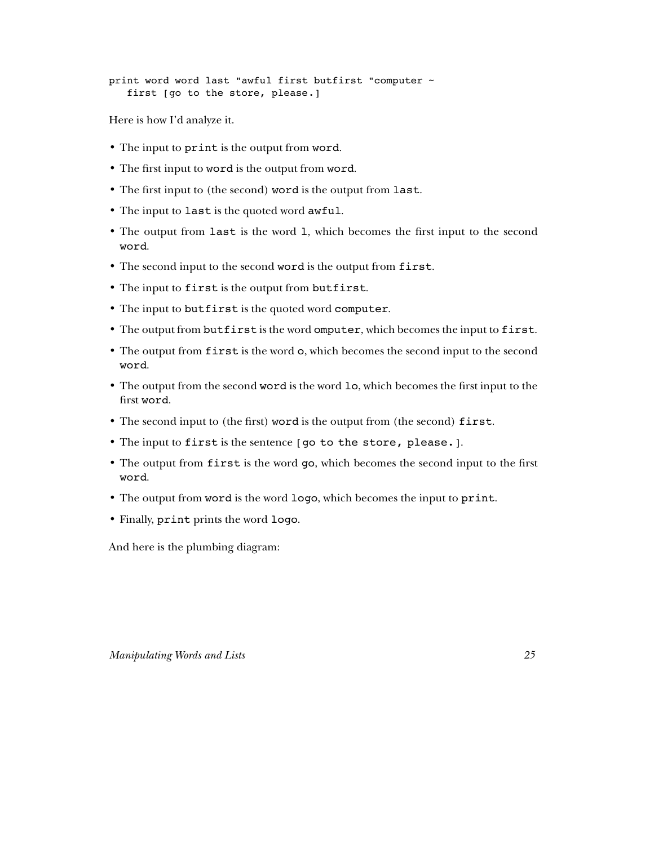print word word last "awful first butfirst "computer ~ first [go to the store, please.]

Here is how I'd analyze it.

- The input to print is the output from word.
- The first input to word is the output from word.
- The first input to (the second) word is the output from last.
- The input to last is the quoted word awful.
- The output from last is the word 1, which becomes the first input to the second word .
- The second input to the second word is the output from first.
- The input to first is the output from butfirst.
- The input to butfirst is the quoted word computer.
- The output from butfirst is the word omputer, which becomes the input to first.
- The output from first is the word  $\circ$ , which becomes the second input to the second word .
- The output from the second word is the word 10, which becomes the first input to the first word.
- The second input to (the first) word is the output from (the second) first.
- The input to first is the sentence [go to the store, please.].
- The output from first is the word go, which becomes the second input to the first word .
- The output from word is the word logo, which becomes the input to print.
- . Finally, print prints the word logo.

And here is the plumbing diagram:

*Manipulating Words and Lists 25*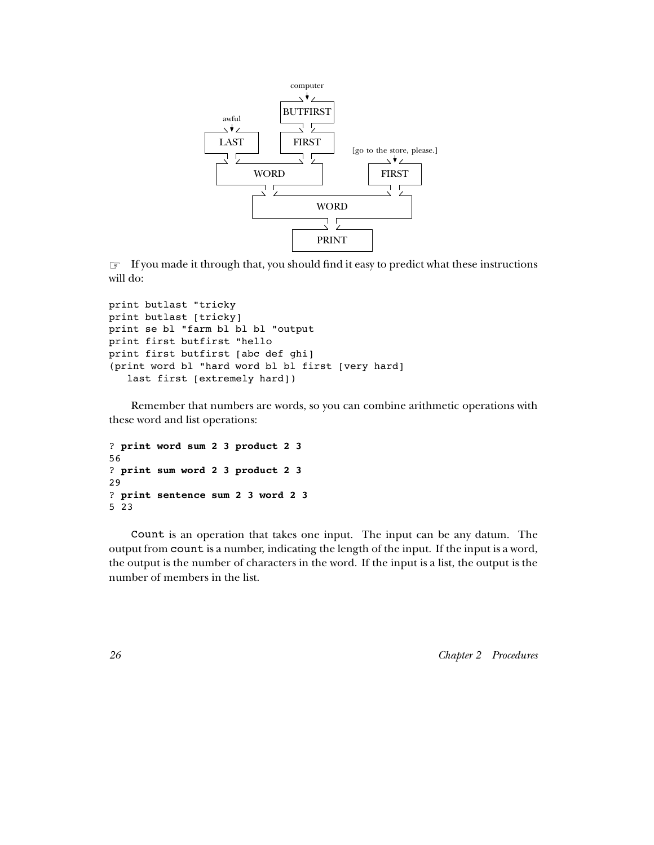

☞ If you made it through that, you should find it easy to predict what these instructions will do:

```
print butlast "tricky
print butlast [tricky]
print se bl "farm bl bl bl "output
print first butfirst "hello
print first butfirst [abc def ghi]
(print word bl "hard word bl bl first [very hard]
   last first [extremely hard])
```
Remember that numbers are words, so you can combine arithmetic operations with these word and list operations:

```
print word sum 2 3 product 2 3
?
print sum word 2 3 product 2 3
?
print sentence sum 2 3 word 2 3
?
56
29
5 23
```
Count is an operation that takes one input. The input can be any datum. The output from  $\mathtt{count}$  is a number, indicating the length of the input. If the input is a word, the output is the number of characters in the word. If the input is a list, the output is the number of members in the list.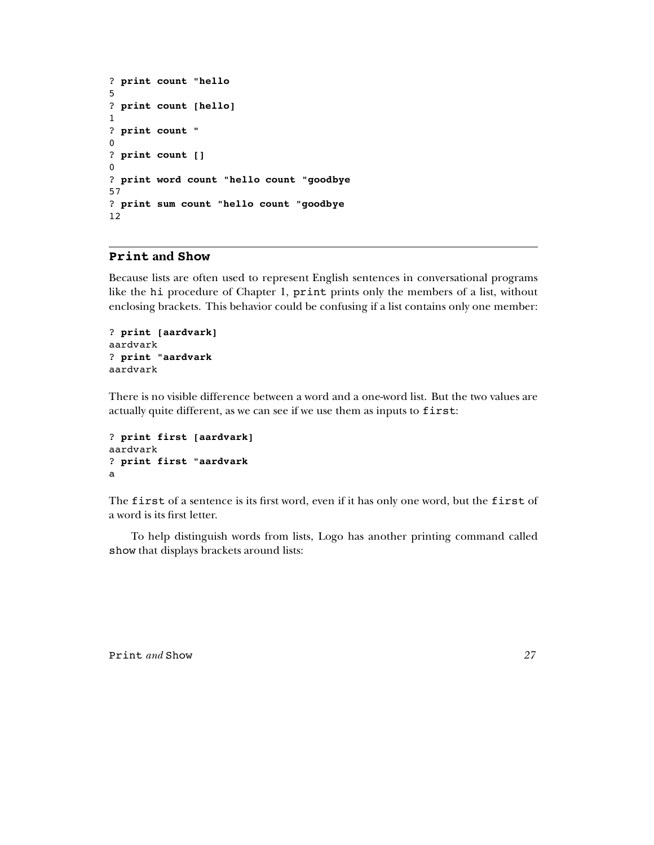```
?
print count "hello
5
?
print count [hello]
1
?
print count "
\Omega?
print count []
\Omega?
print word count "hello count "goodbye
57
?
print sum count "hello count "goodbye
12
```
## **and Print Show**

like the hi procedure of Chapter 1, print prints only the members of a list, without Because lists are often used to represent English sentences in conversational programs enclosing brackets. This behavior could be confusing if a list contains only one member:

```
?
print [aardvark]
aardvark
?
print "aardvark
aardvark
```
actually quite different, as we can see if we use them as inputs to  $\mathtt{first:}$ There is no visible difference between a word and a one-word list. But the two values are

```
?
print first [aardvark]
aardvark
?
print first "aardvark
a
```
The  ${\tt first}$  of a sentence is its first word, even if it has only one word, but the  ${\tt first}$  of a word is its first letter.

show that displays brackets around lists:To help distinguish words from lists, Logo has another printing command called

*and 27* Print and Show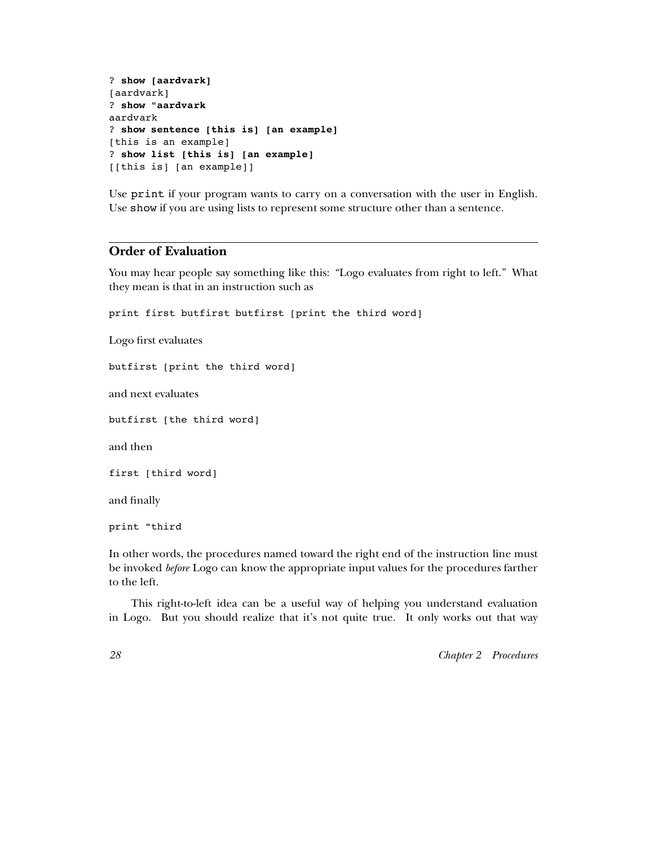```
show [aardvark]
?
show "aardvark
?
show sentence [this is] [an example]
?
show list [this is] [an example]
?
[aardvark]
aardvark
[this is an example]
[[this is] [an example]]
```
Use print if your program wants to carry on a conversation with the user in English. Use show if you are using lists to represent some structure other than a sentence.

## **Order of Evaluation**

You may hear people say something like this: "Logo evaluates from right to left." What they mean is that in an instruction such as

print first butfirst butfirst [print the third word] butfirst [print the third word] butfirst [the third word] first [third word] print "third Logo first evaluates and next evaluates and then and finally

be invoked *before* Logo can know the appropriate input values for the procedures farther In other words, the procedures named toward the right end of the instruction line must to the left.

This right-to-left idea can be a useful way of helping you understand evaluation in Logo. But you should realize that it's not quite true. It only works out that way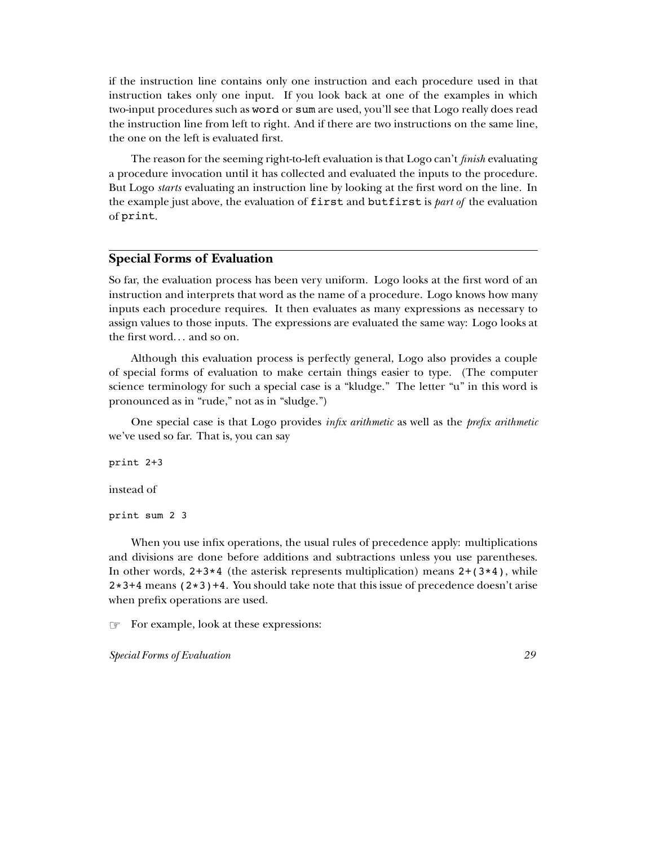two-input procedures such as **word** or **sum** are used, you'll see that Logo really does read if the instruction line contains only one instruction and each procedure used in that instruction takes only one input. If you look back at one of the examples in which the instruction line from left to right. And if there are two instructions on the same line, the one on the left is evaluated first.

the example just above, the evaluation of first and butfirst is *part of* the evaluation of print. The reason for the seeming right-to-left evaluation is that Logo can't *finish* evaluating But Logo *starts* evaluating an instruction line by looking at the first word on the line. In a procedure invocation until it has collected and evaluated the inputs to the procedure.

# **Special Forms of Evaluation**

So far, the evaluation process has been very uniform. Logo looks at the first word of an instruction and interprets that word as the name of a procedure. Logo knows how many inputs each procedure requires. It then evaluates as many expressions as necessary to assign values to those inputs. The expressions are evaluated the same way: Logo looks at the first word.. . and so on.

Although this evaluation process is perfectly general, Logo also provides a couple of special forms of evaluation to make certain things easier to type. (The computer science terminology for such a special case is a "kludge." The letter "u" in this word is pronounced as in "rude," not as in "sludge.")

One special case is that Logo provides *infix arithmetic* as well as the *prefix arithmetic* we've used so far. That is, you can say

print 2+3

instead of

print sum 2 3

In other words, 2+3\*4 (the asterisk represents multiplication) means 2+(3\*4), while 2\*3+4 means (2\*3)+4. You should take note that this issue of precedence doesn't arise When you use infix operations, the usual rules of precedence apply: multiplications and divisions are done before additions and subtractions unless you use parentheses. when prefix operations are used.

☞ For example, look at these expressions:

*Special Forms of Evaluation 29*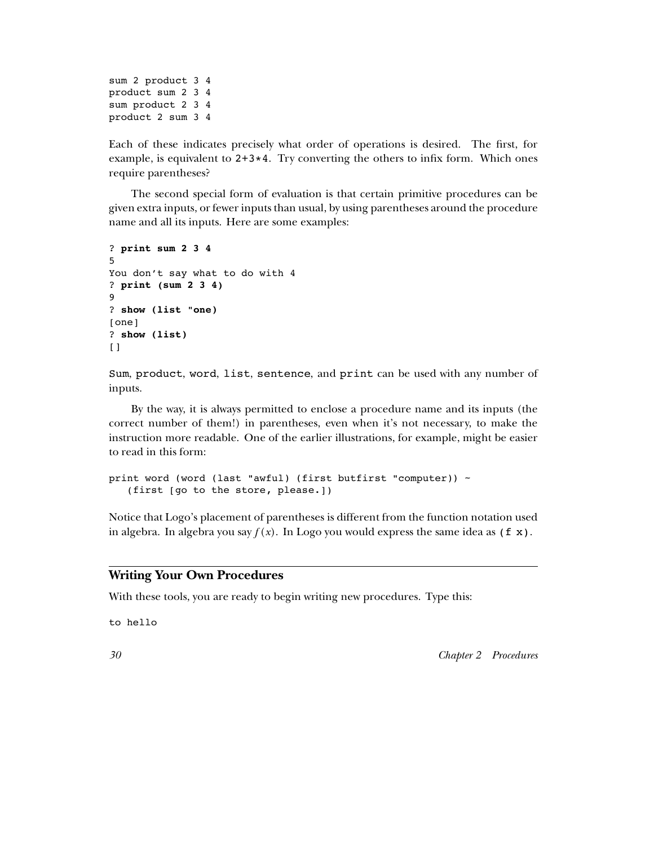```
sum 2 product 3 4
product sum 2 3 4
sum product 2 3 4
product 2 sum 3 4
```
example, is equivalent to 2+3\*4. Try converting the others to infix form. Which ones Each of these indicates precisely what order of operations is desired. The first, for require parentheses?

The second special form of evaluation is that certain primitive procedures can be given extra inputs, or fewer inputs than usual, by using parentheses around the procedure name and all its inputs. Here are some examples:

```
print sum 2 3 4
?
print (sum 2 3 4)
?
show (list "one)
?
show (list)
?
5
You don't say what to do with 4
9
[one]
[]
```
Sum, product, word, list, sentence, and print can be used with any number of inputs.

By the way, it is always permitted to enclose a procedure name and its inputs (the correct number of them!) in parentheses, even when it's not necessary, to make the instruction more readable. One of the earlier illustrations, for example, might be easier to read in this form:

```
print word (word (last "awful) (first butfirst "computer)) ~
   (first [go to the store, please.])
```
in algebra. In algebra you say  $f(x)$ . In Logo you would express the same idea as  $(f x)$ . Notice that Logo's placement of parentheses is different from the function notation used

### **Writing Your Own Procedures**

With these tools, you are ready to begin writing new procedures. Type this:

to hello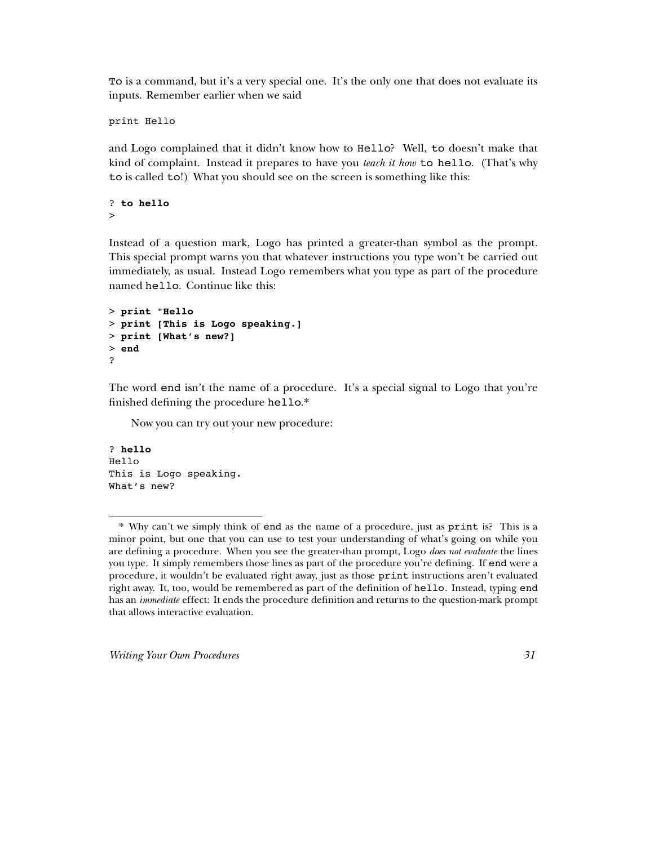To is a command, but it's a very special one. It's the only one that does not evaluate its inputs. Remember earlier when we said

```
print Hello
```
and Logo complained that it didn't know how to He110? Well, to doesn't make that kind of complaint. Instead it prepares to have you *teach it how* to hello. (That's why to is called to!) What you should see on the screen is something like this:

```
to hello
?
\rightarrow
```
named hello. Continue like this: Instead of a question mark, Logo has printed a greater-than symbol as the prompt. This special prompt warns you that whatever instructions you type won't be carried out immediately, as usual. Instead Logo remembers what you type as part of the procedure

```
print "Hello
>
print [This is Logo speaking.]
>
print [What's new?]
>
end
>
?
```
The word end isn't the name of a procedure. It's a special signal to Logo that you're finished defining the procedure <code>hello.\*</code>

Now you can try out your new procedure:

**hello** ? Hello This is Logo speaking. What's new?

*Writing Your Own Procedures 31*

are defining a procedure. When you see the greater-than prompt, Logo *does not evaluate* the lines has an *immediate* effect: It ends the procedure definition and returns to the question-mark prompt \* Why can't we simply think of end as the name of a procedure, just as print is? This is a you type. It simply remembers those lines as part of the procedure you're defining. If <code>end</code> were a procedure, it wouldn't be evaluated right away, just as those print instructions aren't evaluated right away. It, too, would be remembered as part of the definition of <code>hello</code>. Instead, typing <code>end</code> minor point, but one that you can use to test your understanding of what's going on while you that allows interactive evaluation.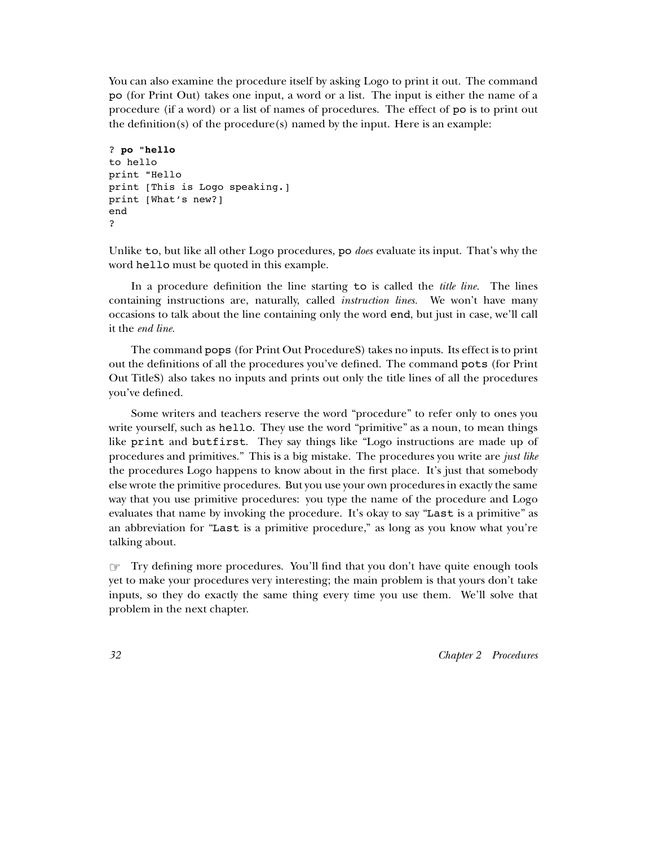po (for Print Out) takes one input, a word or a list. The input is either the name of a procedure (if a word) or a list of names of procedures. The effect of po is to print out You can also examine the procedure itself by asking Logo to print it out. The command the definition(s) of the procedure(s) named by the input. Here is an example:

```
po "hello
?
to hello
print "Hello
print [This is Logo speaking.]
print [What's new?]
end
?
```
Unlike to, but like all other Logo procedures, po *does* evaluate its input. That's why the word hello must be quoted in this example.

In a procedure definition the line starting to is called the *title line*. The lines occasions to talk about the line containing only the word end, but just in case, we'll call containing instructions are, naturally, called *instruction lines*. We won't have many *end line.* it the

The command  $\mathsf{pops}$  (for Print Out ProcedureS) takes no inputs. Its effect is to print out the definitions of all the procedures you've defined. The command pots (for Print Out TitleS) also takes no inputs and prints out only the title lines of all the procedures you've defined.

write yourself, such as <code>hello</code>. They use the word "primitive" as a noun, to mean things like print and butfirst. They say things like "Logo instructions are made up of evaluates that name by invoking the procedure. It's okay to say "Last is a primitive" as an abbreviation for "Last is a primitive procedure," as long as you know what you're procedures and primitives." This is a big mistake. The procedures you write are *just like* Some writers and teachers reserve the word "procedure" to refer only to ones you the procedures Logo happens to know about in the first place. It's just that somebody else wrote the primitive procedures. But you use your own procedures in exactly the same way that you use primitive procedures: you type the name of the procedure and Logo talking about.

☞ Try defining more procedures. You'll find that you don't have quite enough tools yet to make your procedures very interesting; the main problem is that yours don't take inputs, so they do exactly the same thing every time you use them. We'll solve that problem in the next chapter.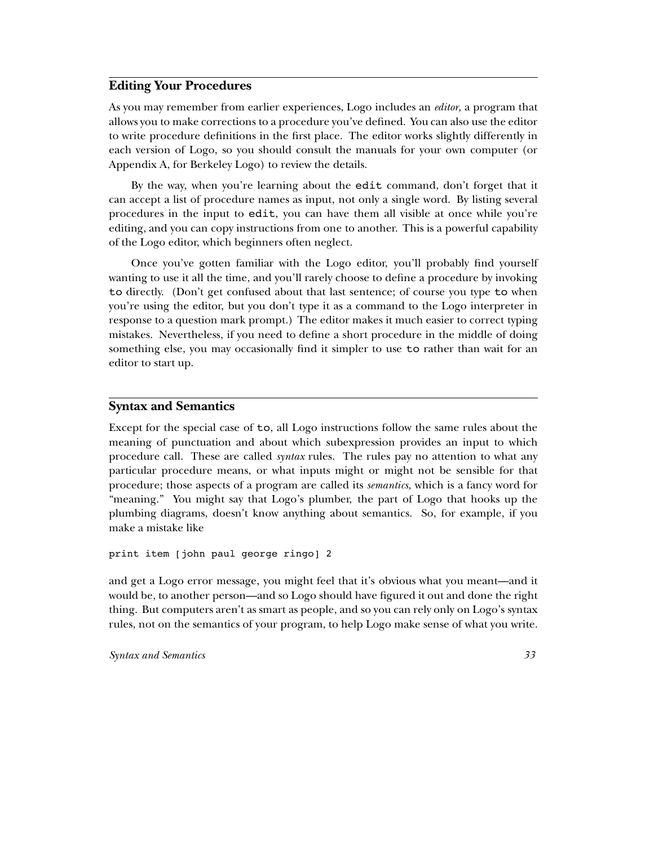## **Editing Your Procedures**

As you may remember from earlier experiences, Logo includes an *editor*, a program that allows you to make corrections to a procedure you've defined. You can also use the editor to write procedure definitions in the first place. The editor works slightly differently in each version of Logo, so you should consult the manuals for your own computer (or Appendix A, for Berkeley Logo) to review the details.

By the way, when you're learning about the edit command, don't forget that it procedures in the input to edit, you can have them all visible at once while you're can accept a list of procedure names as input, not only a single word. By listing several editing, and you can copy instructions from one to another. This is a powerful capability of the Logo editor, which beginners often neglect.

to directly. (Don't get confused about that last sentence; of course you type to when something else, you may occasionally find it simpler to use to rather than wait for an Once you've gotten familiar with the Logo editor, you'll probably find yourself wanting to use it all the time, and you'll rarely choose to define a procedure by invoking you're using the editor, but you don't type it as a command to the Logo interpreter in response to a question mark prompt.) The editor makes it much easier to correct typing mistakes. Nevertheless, if you need to define a short procedure in the middle of doing editor to start up.

#### **Syntax and Semantics**

Except for the special case of  $\tau$ o, all Logo instructions follow the same rules about the procedure call. These are called *syntax* rules. The rules pay no attention to what any procedure; those aspects of a program are called its *semantics*, which is a fancy word for meaning of punctuation and about which subexpression provides an input to which particular procedure means, or what inputs might or might not be sensible for that "meaning." You might say that Logo's plumber, the part of Logo that hooks up the plumbing diagrams, doesn't know anything about semantics. So, for example, if you make a mistake like

```
print item [john paul george ringo] 2
```
and get a Logo error message, you might feel that it's obvious what you meant—and it would be, to another person—and so Logo should have figured it out and done the right thing. But computers aren't as smart as people, and so you can rely only on Logo's syntax rules, not on the semantics of your program, to help Logo make sense of what you write.

*Syntax and Semantics 33*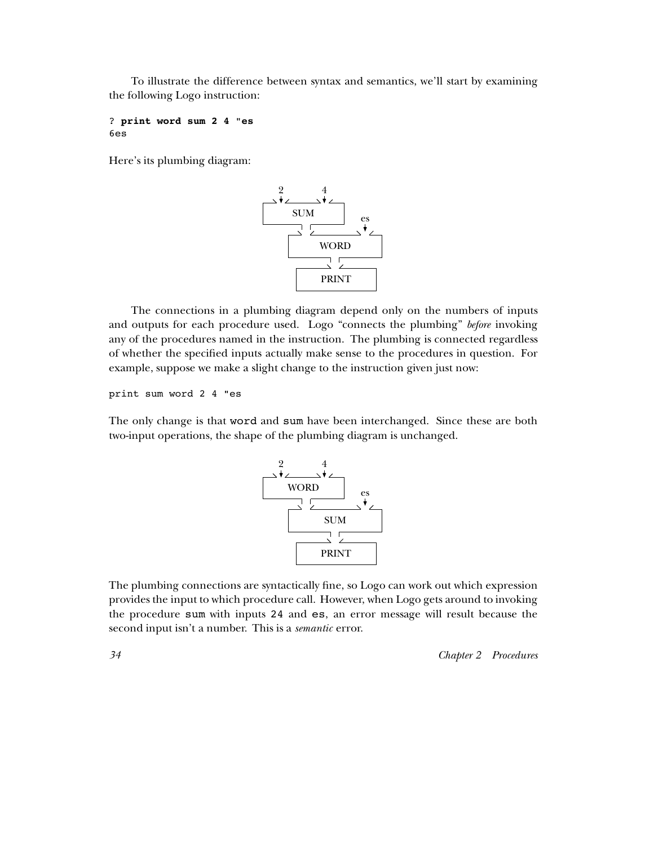To illustrate the difference between syntax and semantics, we'll start by examining the following Logo instruction:

? **print word sum 2 4 "es** 6es

Here's its plumbing diagram:



and outputs for each procedure used. Logo "connects the plumbing" before invoking The connections in a plumbing diagram depend only on the numbers of inputs any of the procedures named in the instruction. The plumbing is connected regardless of whether the specified inputs actually make sense to the procedures in question. For example, suppose we make a slight change to the instruction given just now:

print sum word 2 4 "es

The only change is that word and sum have been interchanged. Since these are both two-input operations, the shape of the plumbing diagram is unchanged.



the procedure sum with inputs 24 and es, an error message will result because the second input isn't a number. This is a *semantic* error. The plumbing connections are syntactically fine, so Logo can work out which expression provides the input to which procedure call. However, when Logo gets around to invoking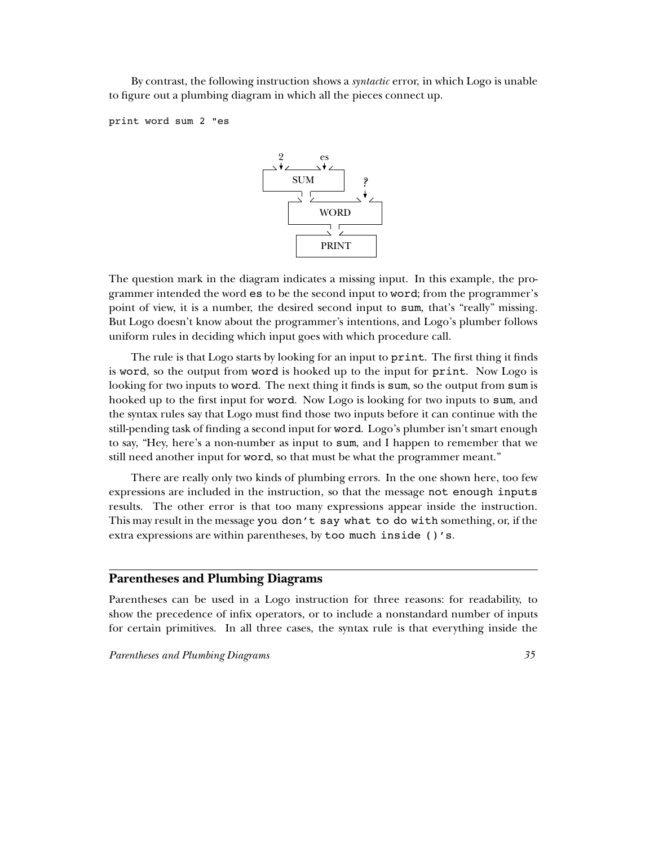By contrast, the following instruction shows a *syntactic* error, in which Logo is unable to figure out a plumbing diagram in which all the pieces connect up.

print word sum 2 "es



grammer intended the word **es** to be the second input to **word**; from the programmer's point of view, it is a number, the desired second input to sum, that's "really" missing. The question mark in the diagram indicates a missing input. In this example, the pro-But Logo doesn't know about the programmer's intentions, and Logo's plumber follows uniform rules in deciding which input goes with which procedure call.

The rule is that Logo starts by looking for an input to print. The first thing it finds is word, so the output from word is hooked up to the input for print. Now Logo is looking for two inputs to word. The next thing it finds is  $\texttt{sum}$ , so the output from  $\texttt{sum}$  is hooked up to the first input for word. Now Logo is looking for two inputs to sum, and still-pending task of finding a second input for w**ord**. Logo's plumber isn't smart enough to say, "Hey, here's a non-number as input to sum, and I happen to remember that we still need another input for **word**, so that must be what the programmer meant." the syntax rules say that Logo must find those two inputs before it can continue with the

expressions are included in the instruction, so that the message not enough inputs This may result in the message you don't say what to do with something, or, if the extra expressions are within parentheses, by too much inside ()'s. There are really only two kinds of plumbing errors. In the one shown here, too few results. The other error is that too many expressions appear inside the instruction.

#### **Parentheses and Plumbing Diagrams**

Parentheses can be used in a Logo instruction for three reasons: for readability, to show the precedence of infix operators, or to include a nonstandard number of inputs for certain primitives. In all three cases, the syntax rule is that everything inside the

*Parentheses and Plumbing Diagrams 35*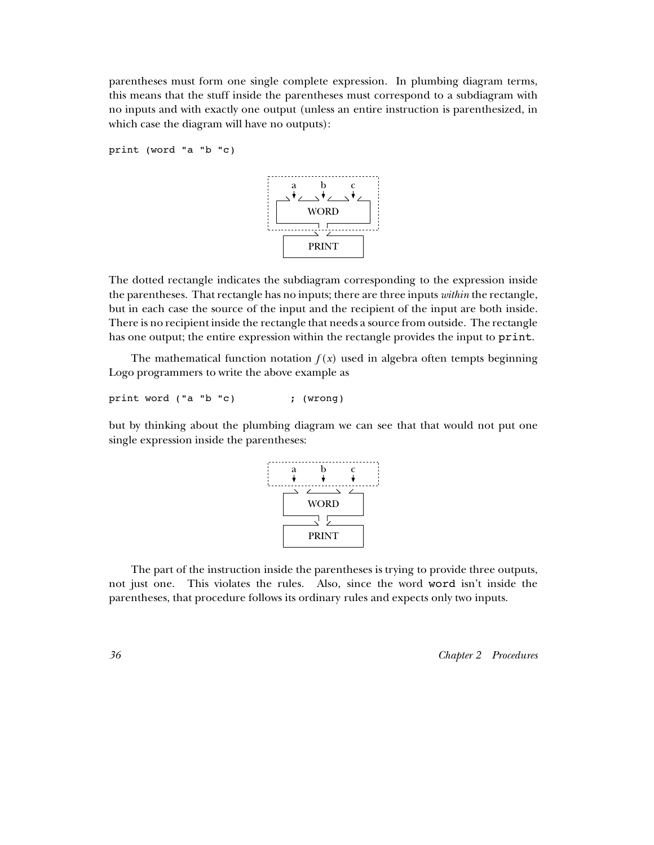parentheses must form one single complete expression. In plumbing diagram terms, this means that the stuff inside the parentheses must correspond to a subdiagram with no inputs and with exactly one output (unless an entire instruction is parenthesized, in which case the diagram will have no outputs):

```
print (word "a "b "c)
```


has one output; the entire expression within the rectangle provides the input to  $\texttt{print}$ . the parentheses. That rectangle has no inputs; there are three inputs *within* the rectangle, The dotted rectangle indicates the subdiagram corresponding to the expression inside but in each case the source of the input and the recipient of the input are both inside. There is no recipient inside the rectangle that needs a source from outside. The rectangle

The mathematical function notation  $f(x)$  used in algebra often tempts beginning Logo programmers to write the above example as

print word ("a "b "c) ; (wrong)

but by thinking about the plumbing diagram we can see that that would not put one single expression inside the parentheses:



not just one. This violates the rules. Also, since the word word isn't inside the The part of the instruction inside the parentheses is trying to provide three outputs, parentheses, that procedure follows its ordinary rules and expects only two inputs.